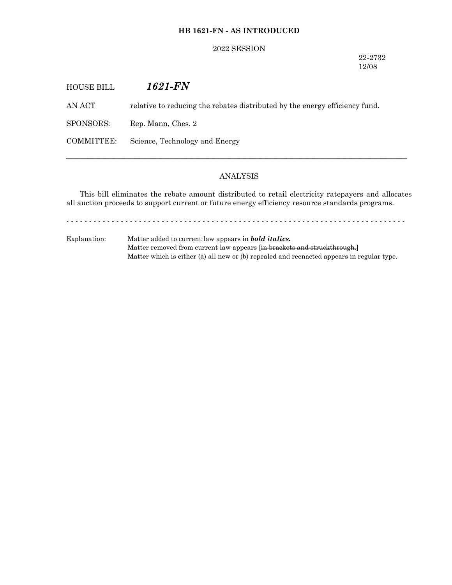## **HB 1621-FN - AS INTRODUCED**

#### 2022 SESSION

22-2732 12/08

| <b>HOUSE BILL</b> | 1621-FN                                                                     |
|-------------------|-----------------------------------------------------------------------------|
| AN ACT            | relative to reducing the rebates distributed by the energy efficiency fund. |
| SPONSORS:         | Rep. Mann, Ches. 2                                                          |
| COMMITTEE:        | Science, Technology and Energy                                              |
|                   |                                                                             |

## ANALYSIS

─────────────────────────────────────────────────────────────────

This bill eliminates the rebate amount distributed to retail electricity ratepayers and allocates all auction proceeds to support current or future energy efficiency resource standards programs.

- - - - - - - - - - - - - - - - - - - - - - - - - - - - - - - - - - - - - - - - - - - - - - - - - - - - - - - - - - - - - - - - - - - - - - - - - - -

Explanation: Matter added to current law appears in *bold italics.* Matter removed from current law appears [in brackets and struckthrough.] Matter which is either (a) all new or (b) repealed and reenacted appears in regular type.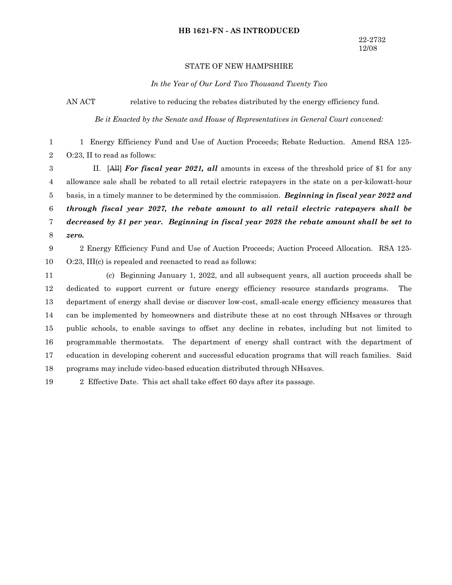#### **HB 1621-FN - AS INTRODUCED**

# STATE OF NEW HAMPSHIRE

*In the Year of Our Lord Two Thousand Twenty Two*

AN ACT relative to reducing the rebates distributed by the energy efficiency fund.

*Be it Enacted by the Senate and House of Representatives in General Court convened:*

1 Energy Efficiency Fund and Use of Auction Proceeds; Rebate Reduction. Amend RSA 125- O:23, II to read as follows: 1 2

II. [All] *For fiscal year 2021, all* amounts in excess of the threshold price of \$1 for any allowance sale shall be rebated to all retail electric ratepayers in the state on a per-kilowatt-hour basis, in a timely manner to be determined by the commission. *Beginning in fiscal year 2022 and through fiscal year 2027, the rebate amount to all retail electric ratepayers shall be decreased by \$1 per year. Beginning in fiscal year 2028 the rebate amount shall be set to zero.* 3 4 5 6 7 8

2 Energy Efficiency Fund and Use of Auction Proceeds; Auction Proceed Allocation. RSA 125- O:23, III(c) is repealed and reenacted to read as follows: 9 10

(c) Beginning January 1, 2022, and all subsequent years, all auction proceeds shall be dedicated to support current or future energy efficiency resource standards programs. The department of energy shall devise or discover low-cost, small-scale energy efficiency measures that can be implemented by homeowners and distribute these at no cost through NHsaves or through public schools, to enable savings to offset any decline in rebates, including but not limited to programmable thermostats. The department of energy shall contract with the department of education in developing coherent and successful education programs that will reach families. Said programs may include video-based education distributed through NHsaves. 11 12 13 14 15 16 17 18

2 Effective Date. This act shall take effect 60 days after its passage. 19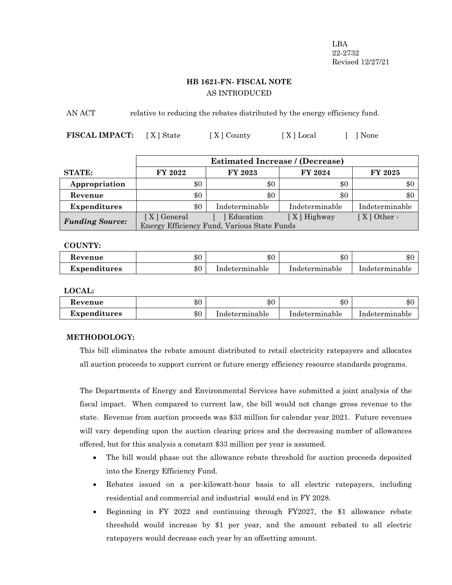LBA 22-2732 Revised 12/27/21

# **HB 1621-FN- FISCAL NOTE** AS INTRODUCED

AN ACT relative to reducing the rebates distributed by the energy efficiency fund.

**FISCAL IMPACT:** [X] State [X] County [X] Local [ ] None

|                        | <b>Estimated Increase / (Decrease)</b>      |                |                |                |
|------------------------|---------------------------------------------|----------------|----------------|----------------|
| <b>STATE:</b>          | FY 2022                                     | FY 2023        | FY 2024        | <b>FY 2025</b> |
| Appropriation          | \$0                                         | \$0            | \$0            | \$0            |
| Revenue                | \$0                                         | \$0            | \$0            | \$0            |
| <b>Expenditures</b>    | \$0                                         | Indeterminable | Indeterminable | Indeterminable |
| <b>Funding Source:</b> | [X] General                                 | Education      | $[X]$ Highway  | $[X]$ Other -  |
|                        | Energy Efficiency Fund, Various State Funds |                |                |                |

## **COUNTY:**

| Revenue             | \$0 | \$0            | \$0            | ሱ ቦ<br>æ∪      |
|---------------------|-----|----------------|----------------|----------------|
| <b>Expenditures</b> | \$0 | Indeterminable | Indeterminable | Indeterminable |

**LOCAL:**

| devenue             | $\mathbf{r}$<br>কচ | ው ር<br>ФU      | \$0            | ሱሶ<br>۰D۱      |
|---------------------|--------------------|----------------|----------------|----------------|
| <b>Expenditures</b> | ውሮ<br>কচ           | Indeterminable | Indeterminable | Indeterminable |

# **METHODOLOGY:**

This bill eliminates the rebate amount distributed to retail electricity ratepayers and allocates all auction proceeds to support current or future energy efficiency resource standards programs.

The Departments of Energy and Environmental Services have submitted a joint analysis of the fiscal impact. When compared to current law, the bill would not change gross revenue to the state. Revenue from auction proceeds was \$33 million for calendar year 2021. Future revenues will vary depending upon the auction clearing prices and the decreasing number of allowances offered, but for this analysis a constant \$33 million per year is assumed.

- The bill would phase out the allowance rebate threshold for auction proceeds deposited into the Energy Efficiency Fund.
- · Rebates issued on a per-kilowatt-hour basis to all electric ratepayers, including residential and commercial and industrial would end in FY 2028.
- · Beginning in FY 2022 and continuing through FY2027, the \$1 allowance rebate threshold would increase by \$1 per year, and the amount rebated to all electric ratepayers would decrease each year by an offsetting amount.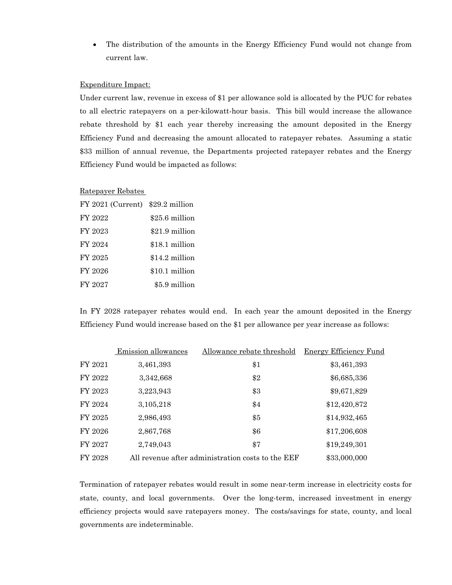· The distribution of the amounts in the Energy Efficiency Fund would not change from current law.

## Expenditure Impact:

Under current law, revenue in excess of \$1 per allowance sold is allocated by the PUC for rebates to all electric ratepayers on a per-kilowatt-hour basis. This bill would increase the allowance rebate threshold by \$1 each year thereby increasing the amount deposited in the Energy Efficiency Fund and decreasing the amount allocated to ratepayer rebates. Assuming a static \$33 million of annual revenue, the Departments projected ratepayer rebates and the Energy Efficiency Fund would be impacted as follows:

#### Ratepayer Rebates

| FY 2021 (Current) \$29.2 million |                |
|----------------------------------|----------------|
| FY 2022                          | \$25.6 million |
| FY 2023                          | \$21.9 million |
| FY 2024                          | \$18.1 million |
| FY 2025                          | \$14.2 million |
| FY 2026                          | \$10.1 million |
| FY 2027                          | \$5.9 million  |

In FY 2028 ratepayer rebates would end. In each year the amount deposited in the Energy Efficiency Fund would increase based on the \$1 per allowance per year increase as follows:

|         | Emission allowances | Allowance rebate threshold                        | Energy Efficiency Fund |
|---------|---------------------|---------------------------------------------------|------------------------|
| FY 2021 | 3,461,393           | \$1                                               | \$3,461,393            |
| FY 2022 | 3,342,668           | \$2                                               | \$6,685,336            |
| FY 2023 | 3,223,943           | \$3                                               | \$9,671,829            |
| FY 2024 | 3,105,218           | \$4                                               | \$12,420,872           |
| FY 2025 | 2,986,493           | \$5                                               | \$14,932,465           |
| FY 2026 | 2,867,768           | \$6                                               | \$17,206,608           |
| FY 2027 | 2,749,043           | \$7                                               | \$19,249,301           |
| FY 2028 |                     | All revenue after administration costs to the EEF | \$33,000,000           |

Termination of ratepayer rebates would result in some near-term increase in electricity costs for state, county, and local governments. Over the long-term, increased investment in energy efficiency projects would save ratepayers money. The costs/savings for state, county, and local governments are indeterminable.